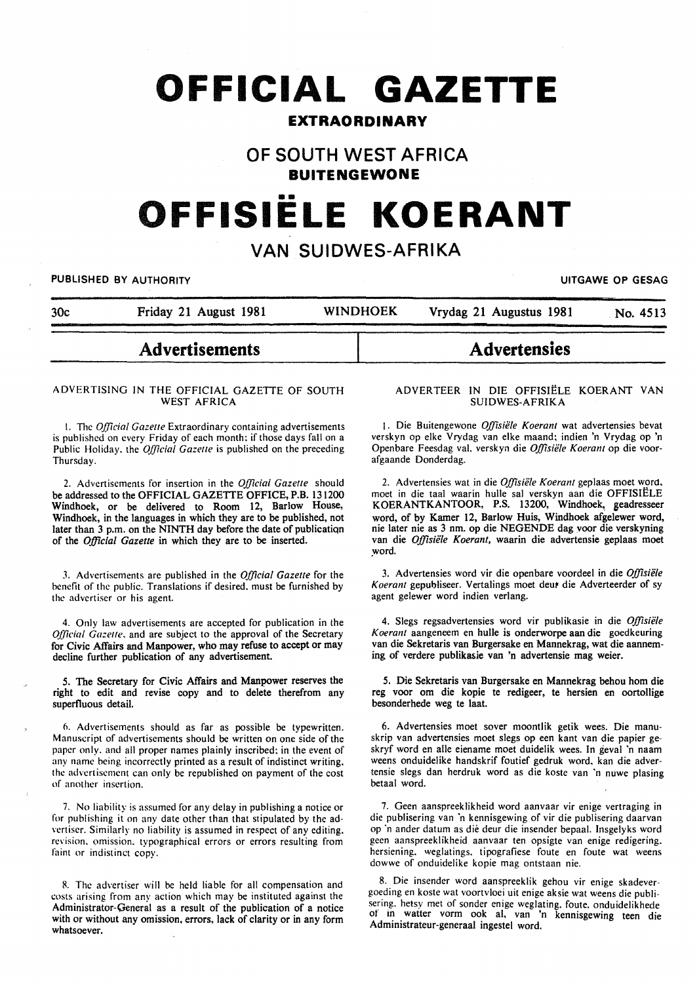# **OFFICIAL GAZETTE**

# **EXTRAORDINARY**

# **OF SOUTH WEST AFRICA**

**BUITENGEWONE** 

# **OFFISIELE KOERANT**

# **VAN SUIDWES-AFRIKA**

PUBLISHED BY AUTHORITY **International Contract Contract Contract Contract Contract Contract Contract Contract Contract Contract Contract Contract Contract Contract Contract Contract Contract Contract Contract Contract Cont** 

| 30c | Friday 21 August 1981 | <b>WINDHOEK</b> | Vrydag 21 Augustus 1981 | No. 4513 |
|-----|-----------------------|-----------------|-------------------------|----------|
|     |                       |                 |                         |          |

# **Advertisements**

#### ADVERTISING IN THE OFFICIAL GAZETTE OF SOUTH WEST AFRICA

1. The *Official Gazelle* Extraordinary containing advertisements is published on every Friday of each month: if those days fall on a Public Holiday, the *Official Gazette* is published on the preceding Thursday.

2. Advertisements for insertion in the *Official Gazelle* should be addressed to the OFFICIAL GAZETTE OFFICE, P.B. 131200 Windhoek, or be delivered to Room 12, Barlow House, Windhoek, in the languages in which they are to be published, not later than 3 p.m. on the NINTH day before the date of publicatiqn of the *Official Gazette* in which they are to be inserted.

3. Advertisements are published in the *Official Gazette* for the benefit of the public. Translations if desired. must be furnished by the advertiser or his agent.

4. Only law advertisements are accepted for publication in the *Official Gazelle.* and are subject to the approval of the Secretary for Civic Affairs and Manpower, who may refuse to accept or may decline further publication of any advertisement.

5. The Secretary for Civic Affairs and Manpower reserves the right to edit and revise copy and to delete therefrom any superfluous detail.

6. Advertisements should as far as possible be typewritten. Manuscript of advertisements should be written on one side of the paper only. and all proper names plainly inscribed: in the event of any name being incorrectly printed as a result of indistinct writing. the advertisement can only be republished on payment of the cost of another insertion.

7. No liability is assumed for any delay in publishing a notice or for publishing it on any date other than that stipulated by the advertiser. Similarly no liability is assumed in respect of any editing. revision. omission. typographical errors or errors resulting from faint or indistinct copy.

R. The advertiser will be held liable for all compensation and costs arising from any action which may be instituted against the Administrator-General as a result of the publication of a notice with or without any omission, errors, lack of clarity or in any form whatsoever.

# **Advertensies**

#### ADVERTEER IN DIE OFFISIELE KOERANT VAN SUIDWES-AFRIKA

1. Die Buitengewone Offisiële Koerant wat advertensies bevat verskyn op elke Vrydag van elke maand; indien 'n Vrydag op 'n Openbare Feesdag val. verskyn die *Offisiële Koerant* op die voorafgaande Donderdag.

2. Advertensies wat in die *Offisiële Koerant* geplaas moet word, moet in die taal waarin hulle sal verskyn aan die OFFISIELE KOERANTKANTOOR, P.S. 13200, Windhoek, seadresseer word, of by Kamer 12, Barlow Huis, Windhoek afgelewer word, nie later nie as 3 nm. op die NEGENDE dag voor die verskyning van die Offisiële Koerant, waarin die advertensie geplaas moet word.

3. Advertensies word vir die openbare voordeel in die *Offisiele*  Koerant gepubliseer. Vertalings moet deur die Adverteerder of sy agent gelewer word indien verlang.

4. Slegs regsadvertensies word vir publikasie in die *Offisiele Koerant* aangeneem en bulle is onderworpe aan die goedkeuring van die Sekretaris van Burgersake en Mannekrag, wat die aanneming of verdere publikasie van 'n advertensie mag weier.

5. Die Sekretaris van Burgersake en Mannekrag behou hom die reg voor om die kopie te redigeer, te hersien en oortollige besonderhede weg te laat.

6. Advertensies moet sover moontlik getik wees. Die manuskrip van advertensies moet slegs op een kant van die papier geskryf word en aile eiename moet duidelik wees. In geval 'n naam weens onduidelike handskrif foutief gedruk word. kan die advertensie slegs dan herdruk word as die koste van 'n nuwe plasing betaal word.

7. Geen aanspreeklikheid word aanvaar vir enige vertraging in die publisering van 'n kennisgewing of vir die publisering daarvan op ·n ander datum as die deur die insender bepaal. Insgelyks word gecn aanspreeklikheid aanvaar ten opsigte van enige redigering. hersiening. weglatings. tipografiese foute en foute wat weens dowwe of onduidelike kopie mag ontstaan nie.

8. Die insender word aanspreeklik gehou vir enige skadevergoeding en koste wat voortvloei uit enige aksie wat weens die publisering. hetsy met of sonder enige weglating. foute. onduidelikhede of in watter vorm ook al. van 'n kennisgewing teen die Administrateur-generaal ingestel word.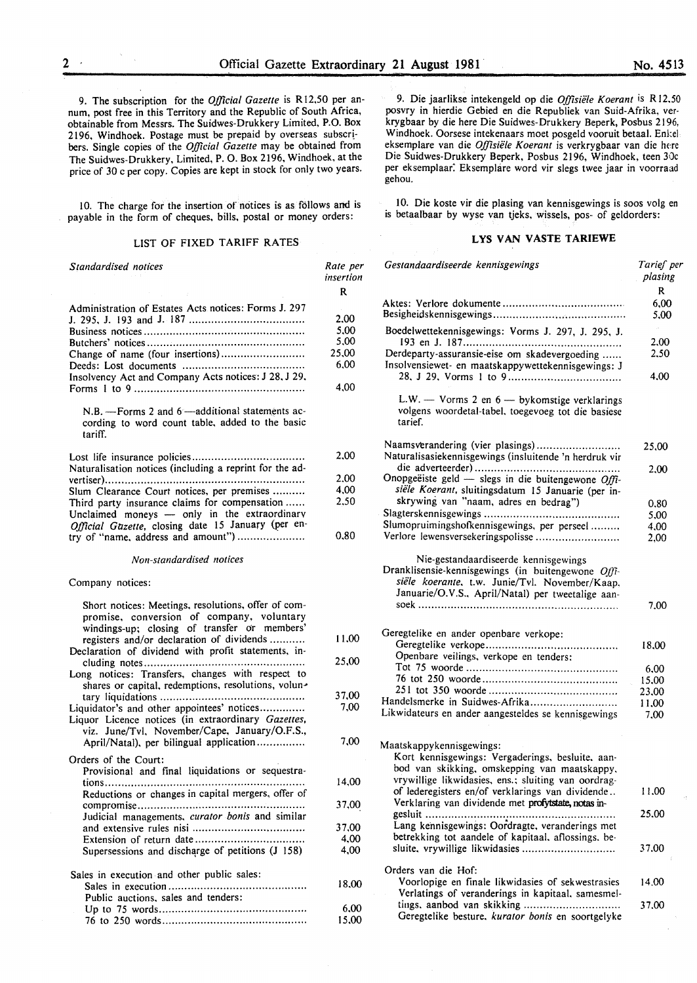9. The subscription for the *Official Gazette* is R 12.50 per annum, post free in this Territory and the Republic of South Africa, obtainable from Messrs. The Suidwes-Drukkery Limited, P.O. Box 2196, Windhoek. Postage must be prepaid by overseas subscribers. Single copies of the *Official Gazette* may be obtained from The Suidwes-Drukkery, Limited, P. 0. Box 2196, Windhoek, at the price of 30 c per copy. Copies are kept in stock for only two years.

10. The charge for the insertion of notices is as follows and is payable in the form of cheques, bills, postal or money orders:

#### LIST OF FIXED TARIFF RATES

| Standardised notices                                 |       |
|------------------------------------------------------|-------|
|                                                      | R     |
| Administration of Estates Acts notices: Forms J. 297 |       |
|                                                      | 2.00  |
|                                                      | 5.00  |
|                                                      | 5.00  |
|                                                      | 25.00 |
|                                                      | 6.00  |
| Insolvency Act and Company Acts notices: J 28, J 29, |       |
|                                                      | 4.00  |

N.B. - Forms 2 and 6 - additional statements according to word count table, added to the basic tariff.

| Naturalisation notices (including a reprint for the ad- |
|---------------------------------------------------------|
|                                                         |
| Slum Clearance Court notices, per premises              |
| Third party insurance claims for compensation           |
| Unclaimed moneys — only in the extraordinary            |
| Official Gazette, closing date 15 January (per en-      |
| try of "name, address and amount")                      |

*Non-standardised notices* 

#### Company notices:

| Short notices: Meetings, resolutions, offer of com-<br>promise, conversion of company, voluntary<br>windings-up; closing of transfer or members'<br>registers and/or declaration of dividends<br>Declaration of dividend with profit statements, in-<br>Long notices: Transfers, changes with respect to<br>shares or capital, redemptions, resolutions, volun-<br>Liquidator's and other appointees' notices<br>Liquor Licence notices (in extraordinary Gazettes,<br>viz. June/Tvl, November/Cape, January/O.F.S.,<br>April/Natal), per bilingual application |
|-----------------------------------------------------------------------------------------------------------------------------------------------------------------------------------------------------------------------------------------------------------------------------------------------------------------------------------------------------------------------------------------------------------------------------------------------------------------------------------------------------------------------------------------------------------------|
| Orders of the Court:<br>Provisional and final liquidations or sequestra-<br>Reductions or changes in capital mergers, offer of                                                                                                                                                                                                                                                                                                                                                                                                                                  |
| Judicial managements, curator bonis and similar<br>Supersessions and discharge of petitions (J 158)                                                                                                                                                                                                                                                                                                                                                                                                                                                             |
| Sales in execution and other public sales:<br>Sales in execution<br>Public auctions, sales and tenders:                                                                                                                                                                                                                                                                                                                                                                                                                                                         |

Up to 75 words ............................................. . 76 to 250 words ............................................ .

9. Die jaarlikse intekengeld op die *Offisiele K oerant* is R 12.50 posvry in hierdie Gebied en die Republiek van Suid-Afrika, verkrygbaar by die here Die Suidwes-Drukkery Beperk, Posbus 2196, Windhoek. Oorsese intekenaars moet posgeld vooruit betaal. Enkel eksemplare van die *Offisiële Koerant* is verkrygbaar van die here Die Suidwes-Drukkery Beperk, Posbus 2196, Windhoek, teen 30c per eksemplaar. Eksemplare word vir slegs twee jaar in voorraad gehou.

10. Die koste vir die plasing van kennisgewings is soos volg en is betaalbaar by wyse van tjeks, wissels, pos- of geldorders:

## LYS VAN VASTE TARIEWE

| ue per<br>sertion | Gestandaardiseerde kennisgewings                                                                                                                                                                  | Tarief per<br>plasing |
|-------------------|---------------------------------------------------------------------------------------------------------------------------------------------------------------------------------------------------|-----------------------|
| R                 |                                                                                                                                                                                                   | R                     |
|                   |                                                                                                                                                                                                   | 6,00                  |
|                   |                                                                                                                                                                                                   | 5,00                  |
| 2.00              |                                                                                                                                                                                                   |                       |
| 5,00              | Boedelwettekennisgewings: Vorms J. 297, J. 295, J.                                                                                                                                                |                       |
| 5,00              |                                                                                                                                                                                                   | 2,00                  |
| !5,00             | Derdeparty-assuransie-eise om skadevergoeding                                                                                                                                                     | 2,50                  |
| 6,00              | Insolvensiewet- en maatskappywettekennisgewings: J                                                                                                                                                |                       |
| 4,00              |                                                                                                                                                                                                   | 4.00                  |
|                   | L.W. - Vorms 2 en 6 - bykomstige verklarings<br>volgens woordetal-tabel, toegevoeg tot die basiese<br>tarief.                                                                                     |                       |
| 2.00              | Naamsverandering (vier plasings)<br>Naturalisasiekennisgewings (insluitende 'n herdruk vir                                                                                                        | 25,00                 |
|                   |                                                                                                                                                                                                   | 2.00                  |
| 2.00              | Onopgeëiste geld - slegs in die buitengewone $Offi$ -                                                                                                                                             |                       |
| 4.00              | siële Koerant, sluitingsdatum 15 Januarie (per in-                                                                                                                                                |                       |
| 2,50              | skrywing van "naam, adres en bedrag")                                                                                                                                                             | 0.80                  |
|                   |                                                                                                                                                                                                   | 5,00                  |
|                   | Slumopruimingshofkennisgewings, per perseel                                                                                                                                                       | 4,00                  |
| 0,80              | Verlore lewensversekeringspolisse                                                                                                                                                                 | 2.00                  |
|                   | Nie-gestandaardiseerde kennisgewings<br>Dranklisensie-kennisgewings (in buitengewone Offi-<br>siële koerante, t.w. Junie/Tvl. November/Kaap,<br>Januarie/O.V.S., April/Natal) per tweetalige aan- | 7.00                  |
|                   |                                                                                                                                                                                                   |                       |
| 11,00             | Geregtelike en ander openbare verkope:                                                                                                                                                            |                       |
|                   |                                                                                                                                                                                                   | 18,00                 |
| 25,00             | Openbare veilings, verkope en tenders:                                                                                                                                                            |                       |
|                   |                                                                                                                                                                                                   | 6,00                  |
|                   |                                                                                                                                                                                                   | 15,00                 |
| 37,00             | Handelsmerke in Suidwes-Afrika                                                                                                                                                                    | 23,00<br>11.00        |
| 7,00              | Likwidateurs en ander aangesteldes se kennisgewings                                                                                                                                               | 7,00                  |
|                   |                                                                                                                                                                                                   |                       |
| 7,00              | Maatskappykennisgewings:<br>Kort kennisgewings: Vergaderings, besluite, aan-<br>bod van skikking, omskepping van maatskappy,                                                                      |                       |
| 14,00             | vrywillige likwidasies, ens.; sluiting van oordrag-<br>of lederegisters en/of verklarings van dividende                                                                                           | 11,00                 |
| 37,00             | Verklaring van dividende met profytstate, notas in-<br>gesluit                                                                                                                                    | 25,00                 |
| 37,00             | Lang kennisgewings: Oordragte, veranderings met                                                                                                                                                   |                       |
| 4,00              | betrekking tot aandele of kapitaal, aflossings, be-                                                                                                                                               |                       |
| 4,00              | sluite, vrywillige likwidasies                                                                                                                                                                    | 37.00                 |
|                   | Orders van die Hof:                                                                                                                                                                               |                       |
| 18.00             | Voorlopige en finale likwidasies of sekwestrasies<br>Verlatings of veranderings in kapitaal, samesmel-                                                                                            | 14.00                 |
| 6,00              | tings, aanbod van skikking                                                                                                                                                                        | 37,00                 |
| 15.00             | Geregtelike besture, kurator bonis en soortgelyke                                                                                                                                                 |                       |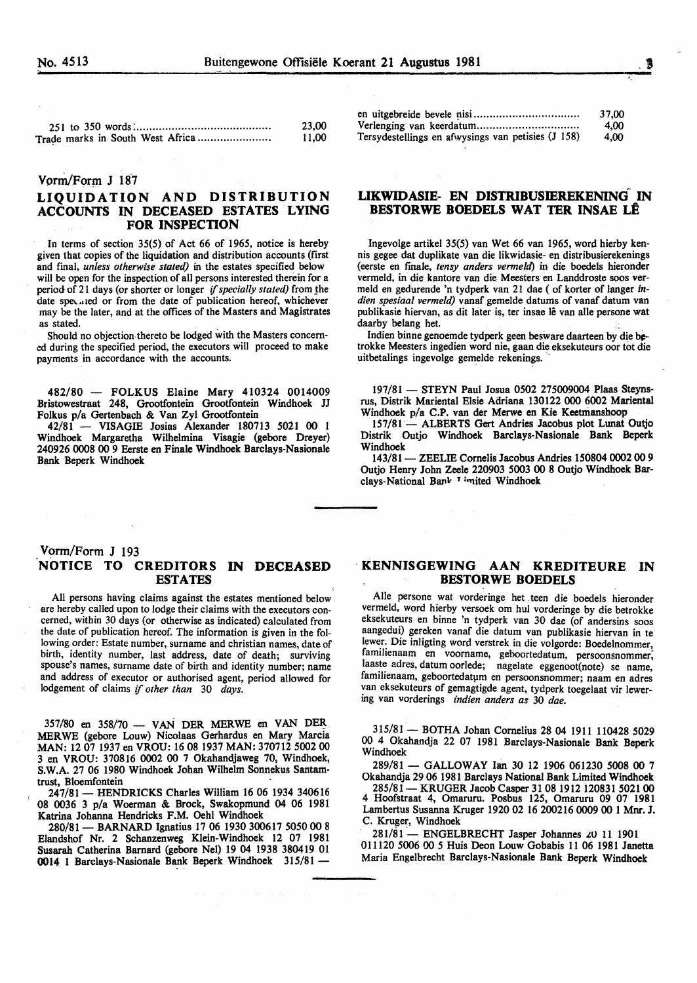,\_

| 23,00 |
|-------|
| 11,00 |

#### Vorm/Form J 187

# LIQUIDATION AND DISTRIBUTION ACCOUNTS IN DECEASED ESTATES LYING FOR INSPECTION

In terms of section 35(5) of Act 66 of 1965, notice is hereby given that copies of the liquidation and distribution accounts (first and fmal, *unless otherwise stated)* in the estates specified below will be open for the inspection of all persons interested therein for a period of 21 days (or shorter or longer *if specially stated)* from the date speculed or from the date of publication hereof, whichever may be the later, and at the offices of the Masters and Magistrates as stated.

Should no objection thereto be lodged with the Masters concerned during the specified period, the executors will proceed to make payments in accordance with the accounts.

482/80 - FOLKUS Elaine Mary 410324 0014009 Bristowestraat 248, Grootfontein Grootfontein Windhoek JJ Folkus p/a Gertenbach & Van Zyl Grootfontein

42/81 - VISAGIE Josias Alexander 180713 5021 00 1 Windhoek Margaretha Wilhelmina Visagie (gebore Dreyer) 240926 0008 00 9 Eerste en Finale Windhoek Barclays-Nasionale Bank Beperk Windhoek

|                                                    | 37.00 |
|----------------------------------------------------|-------|
|                                                    | 4.00  |
| Tersydestellings en afwysings van petisies (J 158) | 4.00  |

## LIKWIDASIE- EN DISTRIBUSffiREKENING IN BESTORWE BOEDELS WAT TER INSAE LÊ

lngevolge artikel 35(5) van Wet 66 van 1965, word hierby kennis gegee dat duplikate van die likwidasie- en distribusierekenings (eerste en fmale, *tensy anders vermeld)* in die boedels hieronder vermeld, in die kantore van die Meesters en Landdroste soos vermeld en gedurende 'n tydperk van 21 dae ( of korter of Ianger *indien spesiaal vermeld)* vanaf gemelde datums of vanaf datum van publikasie hiervan, as dit later is, ter insae lê van alle persone wat daarby belang het.

Indien binne genoemde tydperk geen besware daarteen by die betrokke Meesters ingedien word nie, gaan die eksekuteurs oor tot die uitbetalings ingevolge gemelde rekenings.

197/81 - STEYN Paul Josua 0502 275009004 Plaas Steynsrus, Distrik Mariental Elsie Adriana 130122 000 6002 Mariental Windhoek p/a C.P. van der Merwe en Kie Keetmanshoop

157/81 - ALBERTS Gert Andries Jacobus plot Lunat Outjo Distrik Outjo Windhoek Barclays-Nasionale Bank Beperk Windhoek

143/81- ZEELIE Cornelis Jacobus Andries 150804 0002 00 9 Outjo Henry John Zeele 220903 5003 00 8 Outjo Windhoek Barclays-National Bank <sup>1</sup> imited Windhoek

## Vorm/Form J 193 .NOTICE TO CREDITORS IN DECEASED ESTATES

All persons having claims against the estates mentioned below are hereby called upon to lodge their claims with the executors concerned, within 30 days (or otherwise as indicated) calculated from the date of publication hereof. The information is given in the following order: Estate number, surname and christian names, date of birth, identity number, last address, date of death; surviving spouse's names, surname date of birth and identity number; name and address of executor or authorised agent, period allowed for lodgement of claims if *other than* 30 *days.* 

 $357/80$  en  $358/70$  — VAN DER MERWE en VAN DER MERWE (gebore Louw) Nicolaas Gerhardus en Mary Marcia MAN: 12 07 1937 en VROU: 16 08 1937 MAN: 370712 5002 00 3 en VROU: 370816 0002 00 7 Okahandjaweg 70, Windhoek, S.W.A. 27 06 1980 Windhoek Johan Wilhelm Sonnekus Santamtrust, Bloemfontein

247/81 - HENDRICKS Charles William 16 06 1934 340616 08 0036 3 p/a Woerman & Brock, Swakopmund 04 06 1981 Katrina Joharma Hendricks F.M. Oehl Windhoek

280/81- BARNARD Ignatius 17 06 1930 300617 5050 00 8 Elandshof Nr. 2 Schanzenweg Klein-Windhoek 12 07 1981 Susarah Catherina Barnard (gebore Nel) 19 04 1938 380419 01 0014 1 Barclays-Nasionale Bank Beperk Windhoek 315/81 -

#### · KENNISGEWING AAN KREDITEURE IN BESTORWE BOEDELS

Aile persone wat vorderinge bet . teen die boedels hieronder vermeld, word hierby versoek om hul vorderinge by die betrokke eksekuteurs en binne 'n tydperk van 30 dae (of andersins soos aangedui) gereken vanaf die datum van publikasie hiervan in te lewer. Die inligting word verstrek in die volgorde: Boedelnommer, familienaam en voorname, geboortedatum, persoonsnommer; laaste adres, datum oorlede; nagelate eggenoot(note) se name, familienaam, geboortedatum en persoonsnommer; naam en adres van eksekuteurs of gemagtigde agent, tydperk toegelaat vir lewering van vorderings *indien anders as* 30 *dae.* 

315/81- BOTHA Johan Cornelius 28 04 1911 110428 5029 00 4 Okahandja 22 07 1981 Barclays-Nasionale Bank Beperk Windhoek

289/81- GALLOWAY Ian 30 12 1906 061230 5008 00 7 Okahandja 29 06 1981 Barclays National Bank Limited Windhoek

285/81 - KRUGER Jacob Casper 31 08 1912 120831 5021 00 4 Hoofstraat 4, Omaruru. Posbus 125, Omaruru 09 07 1981 Lambertus Susarma Kruger 1920 02 16 200216 0009 00 1 Mnr. J. C. Kruger, Windhoek

281/81 - ENGELBRECHT Jasper Johannes 20 11 1901 011120 5006 00 5 Huis Deon Louw Gobabis 11 06 1981 Janetta Maria Engelbrecht Barclays-Nasionale Bank Beperk Windhoek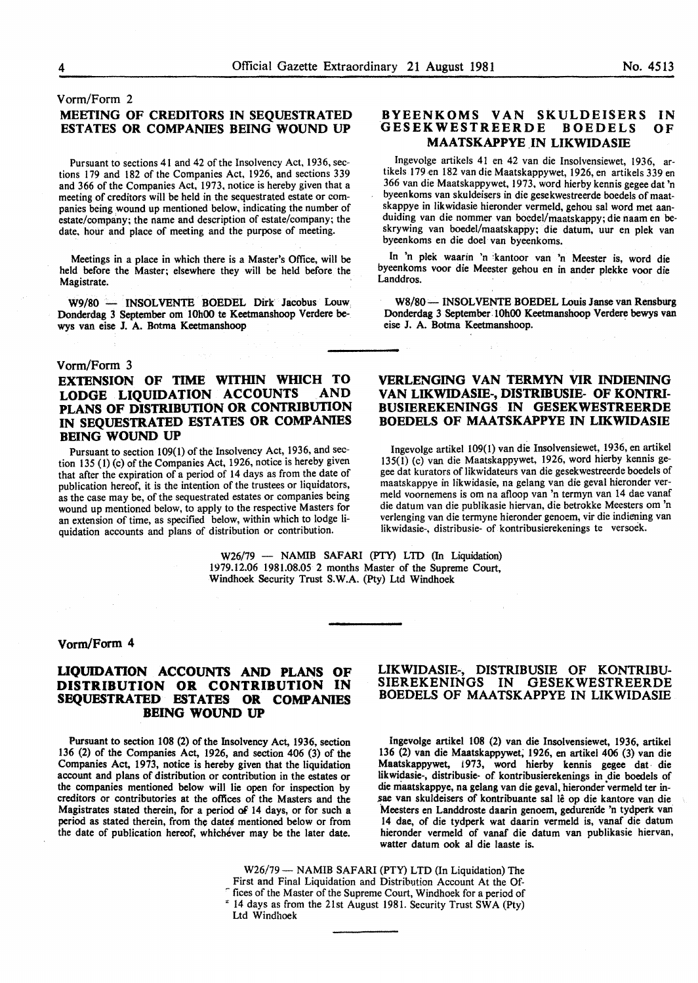# Vorm/Form 2 MEETING OF CREDITORS IN SEQUESTRATED ESTATES OR COMPANIES BEING WOUND UP

Pursuant to sections 41 and 42 of the Insolvency Act, 1936, sections 179 and 182 of the Companies Act, 1926, and sections 339 and 366 of the Companies Act, 1973, notice is hereby given that a meeting of creditors will be held in the sequestrated estate or companies being wound up mentioned below, indicating the number of estate/company; the name and description of estate/company; the date, hour and place of meeting and the purpose of meeting.

Meetings in a place in which there is a Master's Office, will be held before the Master; elsewhere they will be held before the Magistrate.

W9/80 - INSOLVENTE BOEDEL Dirk Jacobus Louw Donderdag 3 September om lOhOO te Keetmanshoop Verdere bewys van eise J. A. Botma Keetmanshoop

# Vorm/Form 3

# EXTENSION OF TIME WITHIN WHICH TO LODGE LIQUIDATION ACCOUNTS PLANS OF DISTRIBUTION OR CONTRIBUTION IN SEQUESTRATED ESTATES OR COMPANIES BEING WOUND UP

Pursuant to section 109(1) of the Insolvency Act, 1936, and section 135 (l) (c) of the Companies Act, 1926, notice is hereby given that after the expiration of a period of 14 days as from the date of publication hereof, it is the intention of the trustees or liquidators, as the case may be, of the sequestrated estates or companies being wound up mentioned below, to apply to the respective Masters for an extension of time, as specified below, within which to lodge liquidation accounts and plans of distribution or contribution.

#### BYEENKOMS VAN SKULDEISERS IN<br>GESEKWESTREERDE BOEDELS OF GESEKWESTREERDE BOEDELS MAATSKAPPYE IN LIKWIDASIE

Ingevolge artikels 41 en 42 van die Insolvensiewet, 1936, artikels 179 en 182 van die Maatskappywet, 1926, en artikels 339 en 366 van die Maatskappywet, 1973, word hierby kennis gegee dat 'n byeenkoms van skuldeisers in die gesekwestreerde boedels of maatskappye in likwidasie hieronder vermeld, gehou sal word met aanduiding van die nommer van boedel/maatskappy; die naam en beskrywing van boedel/maatskappy; die datum, uur en plek van byeenkoms en die doe! van byeenkoms.

In 'n plek waarin 'n kantoor van 'n Meester is, word die byeenkoms voor die Meester gehou en in ander plekke voor die Landdros.

W8/80 -- INSOLVENTE BOEDEL Louis Janse van Rensburg Donderdag 3 September lOhOO Keetmanshoop Verdere bewys van eise J. A. Botma Keetmanshoop.

# VERLENGING VAN TERMYN VIR INDIENING VAN LIKWIDASIE-, DISTRIBUSIE- OF KONTRI-BUSIEREKENINGS IN GESEKWESTREERDE BOEDELS OF MAATSKAPPYE IN LIKWIDASIE

Ingevolge artikel 109(1) van die Insolvensiewet, 1936, en artikel 135(1) (c) van die Maatskappywet, 1926, word hierby kennis gegee dat kurators of likwidateurs van die gesekwestreerde boedels of maatskappye in likwidasie, na gelang van die geval hieronder vermeld voornemens is om na afloop van 'n termyn van 14 dae vanaf die datum van die publikasie hiervan, die betrokke Meesters om 'n verlenging van die termyne hieronder genoem, vir die indiening van likwidasie-, distribusie- of kontribusierekenings te versoek.

W26/79 - NAMIB SAFARI (PTY) LTD (In Liquidation) 1979.12.06 1981.08.05 2 months Master of the Supreme Court, Windhoek Security Trust S.W.A. (Pty) Ltd Windhoek

# Vorm/Form 4

## UQUIDATION ACCOUNTS AND PLANS OF DISTRIBUTION OR CONTRIBUTION IN SEQUESTRATED ESTATES OR COMPANIES BEING WOUND UP

Pursuant to section 108 (2) of the Insolvency Act, 1936, section 136 (2) of the Companies Act, 1926, and section 406 (3) of the Companies Act, 1973, notice is hereby given that the liquidation account and plans of distribution or contribution in the estates or the companies mentioned below will lie open for inspection by creditors or contributories at the offices of the Masters and the Magistrates stated therein, for a period of 14 days, or for such a period as stated therein, from the dates mentioned below or from the date of publication hereof, whichever may be the later date.

#### LIKWIDASIE-, DISTRIBUSIE OF KONTRIBU-<br>SIEREKENINGS IN GESEKWESTREERDE IN GESEKWESTREERDE BOEDELS OF MAATSKAPPYE IN LIKWIDASIE

Ingevolge artikel 108 (2) van die Insolvensiewet, 1936, artikel 136 (2) van die Maatskappywet; 1926, en artikel 406 (3) van die Maatskappywet, 1973, word hierby kennis gegee dat die likwidasie-, distribusie- of kontribusierekenings in die boedels of die maatskappye, na gelang van die geval, hieronder vermeld ter insae van skuldeisers of kontribuante sal lê op die kantore van die Meesters en Landdroste daarin genoem, gedurende 'n tydperk van 14 dae, of die tydperk wat daarin vermeld is, vanaf die datum hieronder vermeld of vanaf die datum van publikasie hiervan, watter datum ook al die laaste is.

W26/79 - NAMIB SAFARI (PTY) LTD (In Liquidation) The First and Final Liquidation and Distribution Account At the Of fices of the Master of the Supreme Court, Windhoek for a period of 14 days as from the 21st August 1981. Security Trust SWA (Pty) Ltd Windhoek